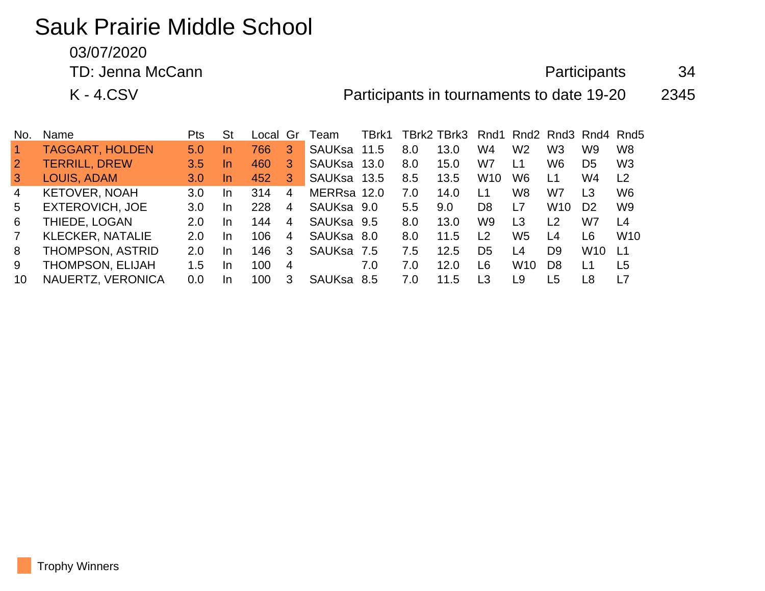# Sauk Prairie Middle School

03/07/2020

TD: Jenna McCann 34

K - 4.CSV 2345

| No.            | Name                    | Pts              | <b>St</b> | Local | Gr | ⊺eam          | TBrk1 |               | TBrk2 TBrk3 | Rnd1            |                 |                 | Rnd <sub>2</sub> Rnd <sub>3</sub> Rnd <sub>4</sub> Rnd <sub>5</sub> |                  |
|----------------|-------------------------|------------------|-----------|-------|----|---------------|-------|---------------|-------------|-----------------|-----------------|-----------------|---------------------------------------------------------------------|------------------|
|                | <b>TAGGART, HOLDEN</b>  | 5.0              | <u>In</u> | 766   | З. | SAUKsa        | 11.5  | 8.0           | 13.0        | W4              | W <sub>2</sub>  | W3              | W9                                                                  | W <sub>8</sub>   |
| $\overline{2}$ | <b>TERRILL, DREW</b>    | 3.5              | In        | 460   | З. | <b>SAUKsa</b> | 13.0  | 8.0           | 15.0        | W7              | $\overline{11}$ | W6              | D5                                                                  | W <sub>3</sub>   |
| $\mathbf{3}$   | LOUIS, ADAM             | 3.0              | In.       | 452   | 3  | SAUKsa 13.5   |       | 8.5           | 13.5        | W <sub>10</sub> | W6              | L1              | W4                                                                  | L2               |
| 4              | <b>KETOVER, NOAH</b>    | 3.0 <sub>2</sub> | In        | 314   | 4  | MERRsa 12.0   |       | 7.0           | 14.0        | l 1             | W <sub>8</sub>  | W7              | L3                                                                  | W <sub>6</sub>   |
| 5.             | <b>EXTEROVICH, JOE</b>  | 3.0              | In        | 228   | 4  | SAUKsa 9.0    |       | $5.5^{\circ}$ | 9.0         | D8              | L7              | W <sub>10</sub> | D <sub>2</sub>                                                      | W <sub>9</sub>   |
| 6              | THIEDE, LOGAN           | 2.0              | In        | 144   | 4  | SAUKsa 9.5    |       | 8.0           | 13.0        | W9              | L <sub>3</sub>  | $\overline{2}$  | W7                                                                  | L4               |
| 7              | <b>KLECKER, NATALIE</b> | 2.0              | In        | 106   | 4  | <b>SAUKsa</b> | -8.0  | 8.0           | 11.5        | L <sub>2</sub>  | W <sub>5</sub>  | L4              | L6                                                                  | W <sub>10</sub>  |
| 8              | THOMPSON, ASTRID        | 2.0              | In        | 146   | 3  | SAUKsa 7.5    |       | 7.5           | 12.5        | D5              | L <sub>4</sub>  | D9              | W10                                                                 | $\overline{1}$ 1 |
| 9              | THOMPSON, ELIJAH        | 1.5              | In        | 100   | 4  |               | 7.0   | 7.0           | 12.0        | L6              | W <sub>10</sub> | D8              | L1                                                                  | L5               |
| 10             | NAUERTZ, VERONICA       | 0.0              | In        | 100   | 3  | <b>SAUKsa</b> | 8.5   | 7.0           | 11.5        | L3              | L9              | L5              | L8                                                                  | l 7              |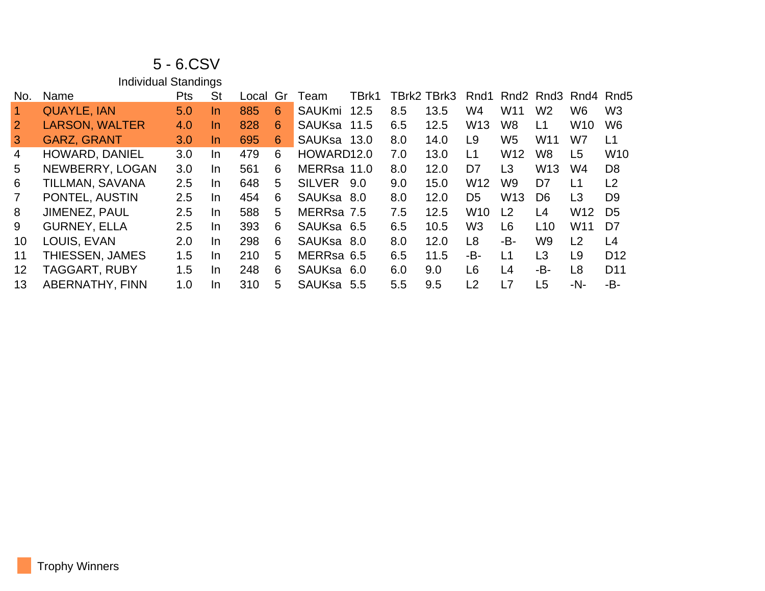## 5 - 6.CSV

|                         | <b>Individual Standings</b> |     |           |          |   |               |       |     |             |                 |                 |                                                                     |                 |                 |
|-------------------------|-----------------------------|-----|-----------|----------|---|---------------|-------|-----|-------------|-----------------|-----------------|---------------------------------------------------------------------|-----------------|-----------------|
| No.                     | Name                        | Pts | <b>St</b> | Local Gr |   | Team          | TBrk1 |     | TBrk2 TBrk3 | Rnd1            |                 | Rnd <sub>2</sub> Rnd <sub>3</sub> Rnd <sub>4</sub> Rnd <sub>5</sub> |                 |                 |
| $\overline{\mathbf{1}}$ | <b>QUAYLE, IAN</b>          | 5.0 | In.       | 885      | 6 | <b>SAUKmi</b> | 12.5  | 8.5 | 13.5        | W4              | W <sub>11</sub> | W <sub>2</sub>                                                      | W <sub>6</sub>  | W <sub>3</sub>  |
| 2 <sup>1</sup>          | <b>LARSON, WALTER</b>       | 4.0 | <b>In</b> | 828      | 6 | SAUKsa 11.5   |       | 6.5 | 12.5        | W <sub>13</sub> | W <sub>8</sub>  | L1                                                                  | W <sub>10</sub> | W <sub>6</sub>  |
| 3                       | <b>GARZ, GRANT</b>          | 3.0 | In.       | 695      | 6 | SAUKsa 13.0   |       | 8.0 | 14.0        | L9              | W5              | W11                                                                 | W7              | L1              |
| 4                       | <b>HOWARD, DANIEL</b>       | 3.0 | In.       | 479      | 6 | HOWARD12.0    |       | 7.0 | 13.0        | L1              | W <sub>12</sub> | W8                                                                  | L <sub>5</sub>  | W <sub>10</sub> |
| 5                       | NEWBERRY, LOGAN             | 3.0 | In.       | 561      | 6 | MERRsa 11.0   |       | 8.0 | 12.0        | D7              | L3              | W <sub>13</sub>                                                     | W4              | D <sub>8</sub>  |
| 6                       | TILLMAN, SAVANA             | 2.5 | In        | 648      | 5 | <b>SILVER</b> | 9.0   | 9.0 | 15.0        | W <sub>12</sub> | W9              | D7                                                                  | L1              | L <sub>2</sub>  |
| $\overline{7}$          | PONTEL, AUSTIN              | 2.5 | In.       | 454      | 6 | SAUKsa 8.0    |       | 8.0 | 12.0        | D <sub>5</sub>  | W <sub>13</sub> | D <sub>6</sub>                                                      | L <sub>3</sub>  | D <sub>9</sub>  |
| 8                       | <b>JIMENEZ, PAUL</b>        | 2.5 | In        | 588      | 5 | MERRsa 7.5    |       | 7.5 | 12.5        | W <sub>10</sub> | L <sub>2</sub>  | L4                                                                  | W <sub>12</sub> | D <sub>5</sub>  |
| 9                       | <b>GURNEY, ELLA</b>         | 2.5 | In.       | 393      | 6 | SAUKsa 6.5    |       | 6.5 | 10.5        | W <sub>3</sub>  | L <sub>6</sub>  | L10                                                                 | W <sub>11</sub> | D7              |
| 10 <sup>°</sup>         | LOUIS, EVAN                 | 2.0 | In.       | 298      | 6 | SAUKsa 8.0    |       | 8.0 | 12.0        | L <sub>8</sub>  | -В-             | W9                                                                  | L2              | L4              |
| 11                      | THIESSEN, JAMES             | 1.5 | In.       | 210      | 5 | MERRsa 6.5    |       | 6.5 | 11.5        | -B-             | L1              | L <sub>3</sub>                                                      | L <sub>9</sub>  | D <sub>12</sub> |
| 12 <sup>2</sup>         | <b>TAGGART, RUBY</b>        | 1.5 | In.       | 248      | 6 | SAUKsa 6.0    |       | 6.0 | 9.0         | L6              | L4              | -B-                                                                 | L <sub>8</sub>  | D <sub>11</sub> |
| 13                      | <b>ABERNATHY, FINN</b>      | 1.0 | In.       | 310      | 5 | SAUKsa 5.5    |       | 5.5 | 9.5         | L <sub>2</sub>  | L7              | L <sub>5</sub>                                                      | -N-             | -B-             |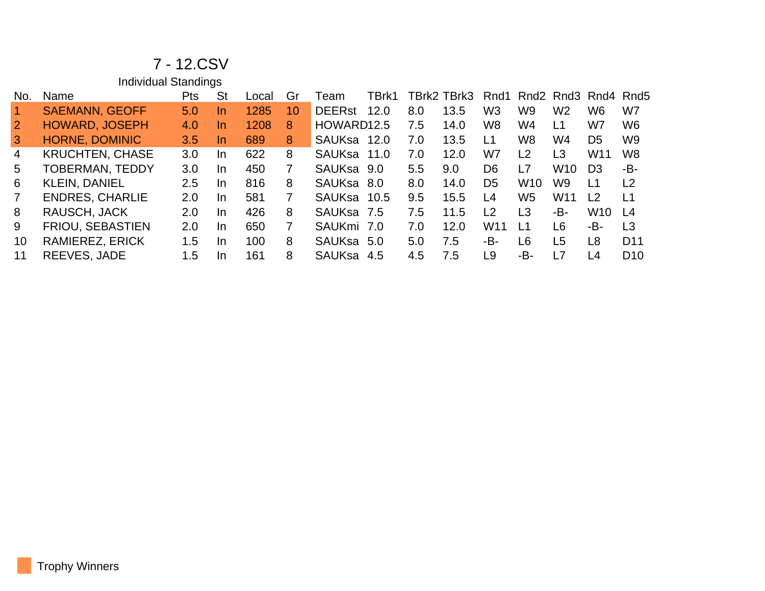### 7 - 12.CSV

Individual Standings

| No. | Name                    | Pts           | <b>St</b> | ∟ocal | Gr | I eam                  | TBrk1 |     | TBrk2 TBrk3 | Rnd1                           |                  |                 | Rnd <sub>2</sub> Rnd <sub>3</sub> Rnd <sub>4</sub> Rnd <sub>5</sub> |                 |
|-----|-------------------------|---------------|-----------|-------|----|------------------------|-------|-----|-------------|--------------------------------|------------------|-----------------|---------------------------------------------------------------------|-----------------|
|     | <b>SAEMANN, GEOFF</b>   | 5.0           | In.       | 1285  | 10 | <b>DEERst</b>          | 12.0  | 8.0 | 13.5        | W <sub>3</sub>                 | W9               | W <sub>2</sub>  | W6                                                                  | W7              |
|     | <b>HOWARD, JOSEPH</b>   | 4.0           | In.       | 1208  | 8  | HOWARD <sub>12.5</sub> |       | 7.5 | 14.0        | W8                             | W4               | L1              | W7                                                                  | W6              |
| 3   | <b>HORNE, DOMINIC</b>   | 3.5           | In.       | 689   | 8  | SAUKsa                 | 12.0  | 7.0 | 13.5        | L1                             | W <sub>8</sub>   | W4              | D <sub>5</sub>                                                      | W <sub>9</sub>  |
| 4   | <b>KRUCHTEN, CHASE</b>  | 3.0           | In.       | 622   | 8  | <b>SAUKsa</b>          | 11.0  | 7.0 | 12.0        | W7                             | L2               | L3              | W11                                                                 | W8              |
| 5.  | <b>TOBERMAN, TEDDY</b>  | 3.0           | In.       | 450   | 7  | SAUKsa 9.0             |       | 5.5 | 9.0         | D <sub>6</sub>                 | L7               | W <sub>10</sub> | D3                                                                  | -B-             |
| 6   | <b>KLEIN, DANIEL</b>    | $2.5\,$       | In.       | 816   | 8  | SAUKsa 8.0             |       | 8.0 | 14.0        | D <sub>5</sub>                 | W <sub>10</sub>  | W9.             | L1                                                                  | L <sub>2</sub>  |
| 7   | <b>ENDRES, CHARLIE</b>  | 2.0           | In.       | 581   |    | SAUKsa 10.5            |       | 9.5 | 15.5        | L <sub>4</sub>                 | W5               | W <sub>11</sub> | 12                                                                  | L1              |
| 8   | RAUSCH, JACK            | $2.0^{\circ}$ | <b>In</b> | 426   | 8  | SAUKsa 7.5             |       | 7.5 | 11.5        | $\begin{array}{c} \end{array}$ | L3               | -В-             | W10                                                                 | $\overline{14}$ |
| 9   | <b>FRIOU, SEBASTIEN</b> | 2.0           | In.       | 650   | 7  | SAUKmi 7.0             |       | 7.0 | 12.0        | W <sub>11</sub>                | $\overline{1}$ 1 | L6              | -B-                                                                 | L <sub>3</sub>  |
| 10  | <b>RAMIEREZ, ERICK</b>  | 1.5           | <b>In</b> | 100   | 8  | SAUKsa 5.0             |       | 5.0 | 7.5         | -В-                            | L <sub>6</sub>   | L5              | L <sub>8</sub>                                                      | D <sub>11</sub> |
|     | REEVES, JADE            | 1.5           | <b>In</b> | 161   | 8  | <b>SAUKsa</b>          | 4.5   | 4.5 | 7.5         | L <sub>9</sub>                 | -В-              | L7              | L4                                                                  | D <sub>10</sub> |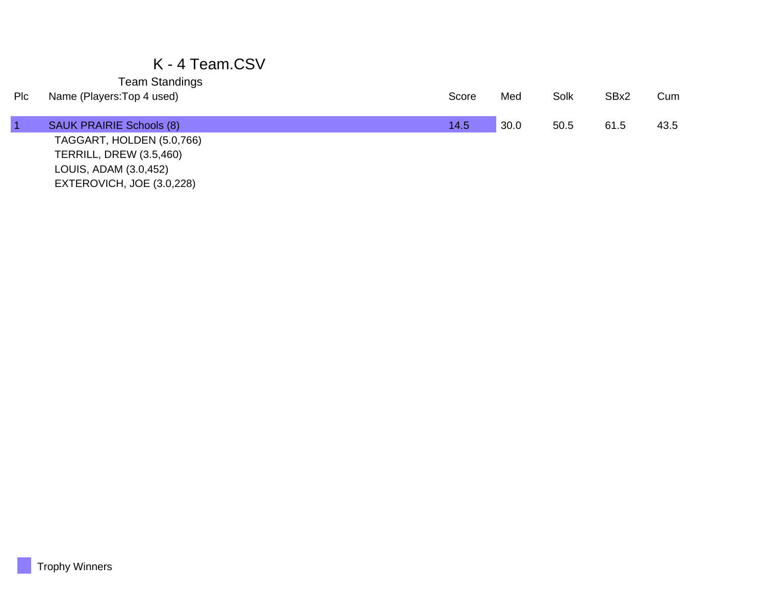### K - 4 Team.CSV

Team Standings

| Plc | Name (Players: Top 4 used)      | Score | Med  | Solk | SBx2 | Cum  |
|-----|---------------------------------|-------|------|------|------|------|
|     | <b>SAUK PRAIRIE Schools (8)</b> | 14.5  | 30.0 | 50.5 | 61.5 | 43.5 |
|     | TAGGART, HOLDEN (5.0,766)       |       |      |      |      |      |
|     | <b>TERRILL, DREW (3.5,460)</b>  |       |      |      |      |      |
|     | LOUIS, ADAM (3.0,452)           |       |      |      |      |      |
|     | EXTEROVICH, JOE (3.0,228)       |       |      |      |      |      |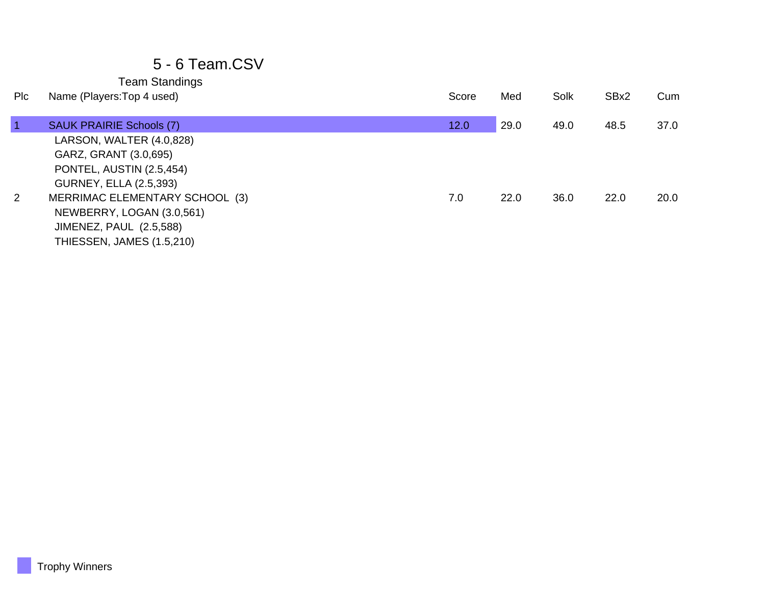### 5 - 6 Team.CSV

Team Standings

| Plc            | Name (Players: Top 4 used)       | Score | Med  | Solk | SBx2 | Cum  |
|----------------|----------------------------------|-------|------|------|------|------|
|                | <b>SAUK PRAIRIE Schools (7)</b>  | 12.0  | 29.0 | 49.0 | 48.5 | 37.0 |
|                | LARSON, WALTER (4.0,828)         |       |      |      |      |      |
|                | GARZ, GRANT (3.0,695)            |       |      |      |      |      |
|                | PONTEL, AUSTIN (2.5,454)         |       |      |      |      |      |
|                | <b>GURNEY, ELLA (2.5,393)</b>    |       |      |      |      |      |
| $\overline{2}$ | MERRIMAC ELEMENTARY SCHOOL (3)   | 7.0   | 22.0 | 36.0 | 22.0 | 20.0 |
|                | NEWBERRY, LOGAN (3.0,561)        |       |      |      |      |      |
|                | <b>JIMENEZ, PAUL (2.5,588)</b>   |       |      |      |      |      |
|                | <b>THIESSEN, JAMES (1.5,210)</b> |       |      |      |      |      |
|                |                                  |       |      |      |      |      |